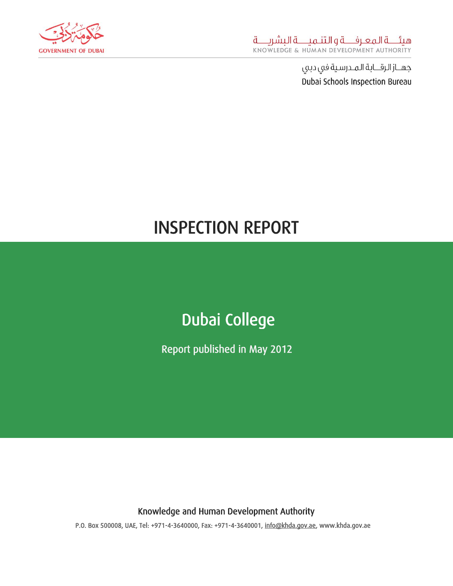

# INSPECTION REPORT

## Dubai College

Report published in May 2012

Knowledge and Human Development Authority

P.O. Box 500008, UAE, Tel: +971-4-3640000, Fax: +971-4-3640001, [info@khda.gov.ae,](mailto:info@khda.gov.ae) www.khda.gov.ae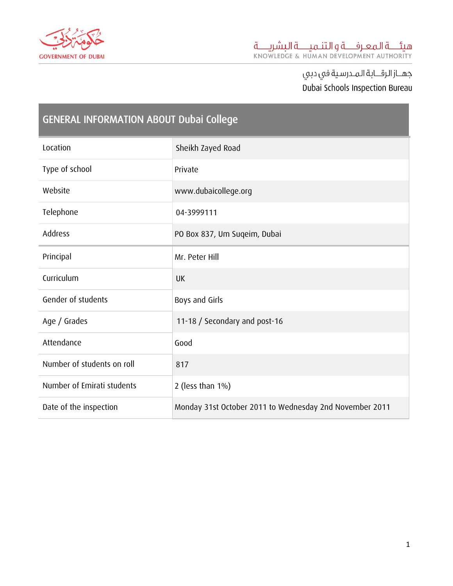

 $\sim$ 

| <b>GENERAL INFORMATION ABOUT Dubai College</b> |                                                         |  |
|------------------------------------------------|---------------------------------------------------------|--|
| Location                                       | Sheikh Zayed Road                                       |  |
| Type of school                                 | Private                                                 |  |
| Website                                        | www.dubaicollege.org                                    |  |
| Telephone                                      | 04-3999111                                              |  |
| Address                                        | PO Box 837, Um Suqeim, Dubai                            |  |
| Principal                                      | Mr. Peter Hill                                          |  |
| Curriculum                                     | <b>UK</b>                                               |  |
| Gender of students                             | Boys and Girls                                          |  |
| Age / Grades                                   | 11-18 / Secondary and post-16                           |  |
| Attendance                                     | Good                                                    |  |
| Number of students on roll                     | 817                                                     |  |
| Number of Emirati students                     | 2 (less than $1\%$ )                                    |  |
| Date of the inspection                         | Monday 31st October 2011 to Wednesday 2nd November 2011 |  |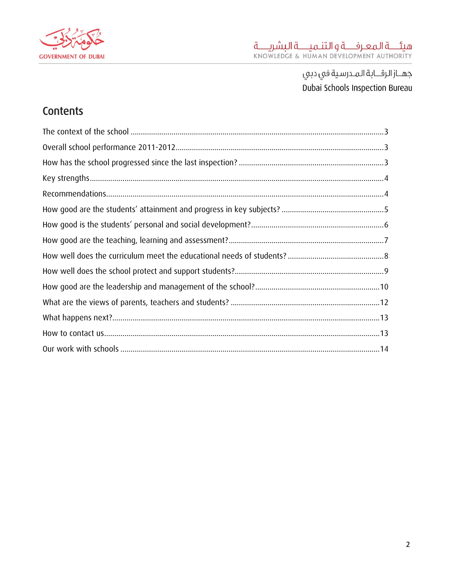

### Contents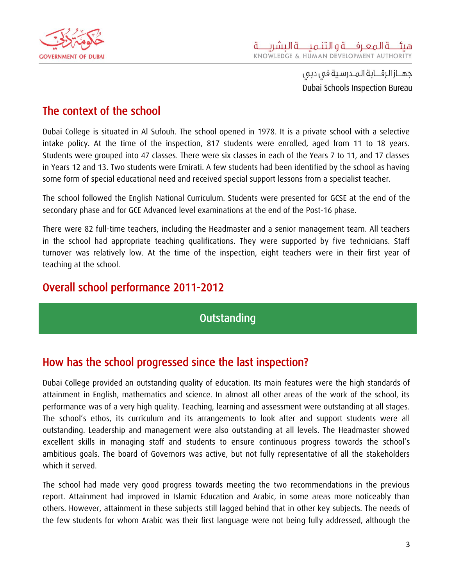

#### <span id="page-3-0"></span>The context of the school

Dubai College is situated in Al Sufouh. The school opened in 1978. It is a private school with a selective intake policy. At the time of the inspection, 817 students were enrolled, aged from 11 to 18 years. Students were grouped into 47 classes. There were six classes in each of the Years 7 to 11, and 17 classes in Years 12 and 13. Two students were Emirati. A few students had been identified by the school as having some form of special educational need and received special support lessons from a specialist teacher.

The school followed the English National Curriculum. Students were presented for GCSE at the end of the secondary phase and for GCE Advanced level examinations at the end of the Post-16 phase.

There were 82 full-time teachers, including the Headmaster and a senior management team. All teachers in the school had appropriate teaching qualifications. They were supported by five technicians. Staff turnover was relatively low. At the time of the inspection, eight teachers were in their first year of teaching at the school.

#### <span id="page-3-1"></span>Overall school performance 2011-2012

**Outstanding** 

#### <span id="page-3-2"></span>How has the school progressed since the last inspection?

Dubai College provided an outstanding quality of education. Its main features were the high standards of attainment in English, mathematics and science. In almost all other areas of the work of the school, its performance was of a very high quality. Teaching, learning and assessment were outstanding at all stages. The school's ethos, its curriculum and its arrangements to look after and support students were all outstanding. Leadership and management were also outstanding at all levels. The Headmaster showed excellent skills in managing staff and students to ensure continuous progress towards the school's ambitious goals. The board of Governors was active, but not fully representative of all the stakeholders which it served.

The school had made very good progress towards meeting the two recommendations in the previous report. Attainment had improved in Islamic Education and Arabic, in some areas more noticeably than others. However, attainment in these subjects still lagged behind that in other key subjects. The needs of the few students for whom Arabic was their first language were not being fully addressed, although the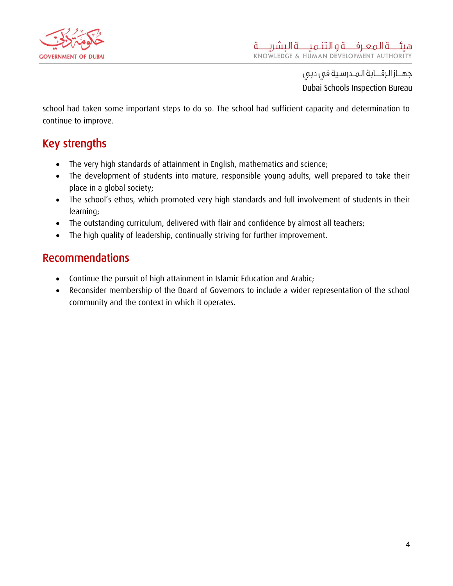

school had taken some important steps to do so. The school had sufficient capacity and determination to continue to improve.

### <span id="page-4-0"></span>Key strengths

- The very high standards of attainment in English, mathematics and science;
- The development of students into mature, responsible young adults, well prepared to take their place in a global society;
- The school's ethos, which promoted very high standards and full involvement of students in their learning;
- The outstanding curriculum, delivered with flair and confidence by almost all teachers;
- The high quality of leadership, continually striving for further improvement.

#### <span id="page-4-1"></span>Recommendations

- Continue the pursuit of high attainment in Islamic Education and Arabic;
- Reconsider membership of the Board of Governors to include a wider representation of the school community and the context in which it operates.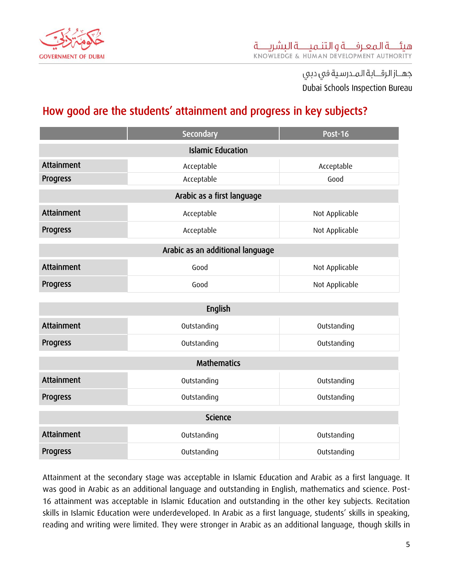

### <span id="page-5-0"></span>How good are the students' attainment and progress in key subjects?

|                                  | Secondary                    | <b>Post-16</b> |  |  |
|----------------------------------|------------------------------|----------------|--|--|
| <b>Islamic Education</b>         |                              |                |  |  |
| Attainment                       | Acceptable<br>Acceptable     |                |  |  |
| Progress                         | Acceptable<br>Good           |                |  |  |
| Arabic as a first language       |                              |                |  |  |
| Attainment                       | Acceptable<br>Not Applicable |                |  |  |
| Progress                         | Acceptable<br>Not Applicable |                |  |  |
| Arabic as an additional language |                              |                |  |  |
| Attainment                       | Good                         | Not Applicable |  |  |
| Progress                         | Not Applicable<br>Good       |                |  |  |
| English                          |                              |                |  |  |
| Attainment                       | Outstanding                  | Outstanding    |  |  |
| Progress                         | Outstanding<br>Outstanding   |                |  |  |
| <b>Mathematics</b>               |                              |                |  |  |
| Attainment                       | Outstanding<br>Outstanding   |                |  |  |
| Progress                         | Outstanding<br>Outstanding   |                |  |  |
| <b>Science</b>                   |                              |                |  |  |
| Attainment                       | Outstanding                  | Outstanding    |  |  |
| Progress                         | Outstanding                  | Outstanding    |  |  |

Attainment at the secondary stage was acceptable in Islamic Education and Arabic as a first language. It was good in Arabic as an additional language and outstanding in English, mathematics and science. Post-16 attainment was acceptable in Islamic Education and outstanding in the other key subjects. Recitation skills in Islamic Education were underdeveloped. In Arabic as a first language, students' skills in speaking, reading and writing were limited. They were stronger in Arabic as an additional language, though skills in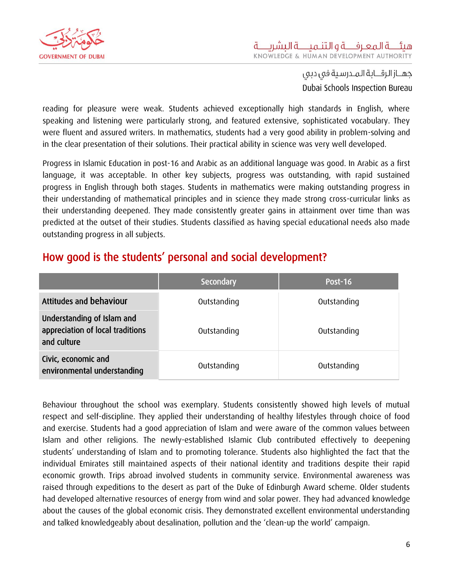

reading for pleasure were weak. Students achieved exceptionally high standards in English, where speaking and listening were particularly strong, and featured extensive, sophisticated vocabulary. They were fluent and assured writers. In mathematics, students had a very good ability in problem-solving and in the clear presentation of their solutions. Their practical ability in science was very well developed.

Progress in Islamic Education in post-16 and Arabic as an additional language was good. In Arabic as a first language, it was acceptable. In other key subjects, progress was outstanding, with rapid sustained progress in English through both stages. Students in mathematics were making outstanding progress in their understanding of mathematical principles and in science they made strong cross-curricular links as their understanding deepened. They made consistently greater gains in attainment over time than was predicted at the outset of their studies. Students classified as having special educational needs also made outstanding progress in all subjects.

### <span id="page-6-0"></span>How good is the students' personal and social development?

|                                                                               | Secondary   | Post-16     |
|-------------------------------------------------------------------------------|-------------|-------------|
| Attitudes and behaviour                                                       | Outstanding | Outstanding |
| Understanding of Islam and<br>appreciation of local traditions<br>and culture | Outstanding | Outstanding |
| Civic, economic and<br>environmental understanding                            | Outstanding | Outstanding |

Behaviour throughout the school was exemplary. Students consistently showed high levels of mutual respect and self-discipline. They applied their understanding of healthy lifestyles through choice of food and exercise. Students had a good appreciation of Islam and were aware of the common values between Islam and other religions. The newly-established Islamic Club contributed effectively to deepening students' understanding of Islam and to promoting tolerance. Students also highlighted the fact that the individual Emirates still maintained aspects of their national identity and traditions despite their rapid economic growth. Trips abroad involved students in community service. Environmental awareness was raised through expeditions to the desert as part of the Duke of Edinburgh Award scheme. Older students had developed alternative resources of energy from wind and solar power. They had advanced knowledge about the causes of the global economic crisis. They demonstrated excellent environmental understanding and talked knowledgeably about desalination, pollution and the 'clean-up the world' campaign.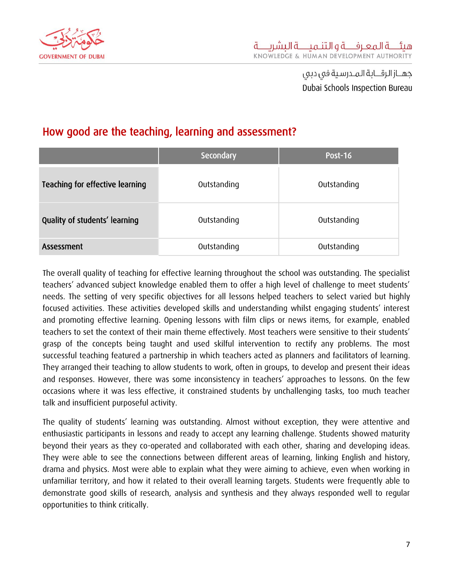

### <span id="page-7-0"></span>How good are the teaching, learning and assessment?

|                                 | Secondary   | <b>Post-16</b> |
|---------------------------------|-------------|----------------|
| Teaching for effective learning | Outstanding | Outstanding    |
| Quality of students' learning   | Outstanding | Outstanding    |
| Assessment                      | Outstanding | Outstanding    |

The overall quality of teaching for effective learning throughout the school was outstanding. The specialist teachers' advanced subject knowledge enabled them to offer a high level of challenge to meet students' needs. The setting of very specific objectives for all lessons helped teachers to select varied but highly focused activities. These activities developed skills and understanding whilst engaging students' interest and promoting effective learning. Opening lessons with film clips or news items, for example, enabled teachers to set the context of their main theme effectively. Most teachers were sensitive to their students' grasp of the concepts being taught and used skilful intervention to rectify any problems. The most successful teaching featured a partnership in which teachers acted as planners and facilitators of learning. They arranged their teaching to allow students to work, often in groups, to develop and present their ideas and responses. However, there was some inconsistency in teachers' approaches to lessons. On the few occasions where it was less effective, it constrained students by unchallenging tasks, too much teacher talk and insufficient purposeful activity.

The quality of students' learning was outstanding. Almost without exception, they were attentive and enthusiastic participants in lessons and ready to accept any learning challenge. Students showed maturity beyond their years as they co-operated and collaborated with each other, sharing and developing ideas. They were able to see the connections between different areas of learning, linking English and history, drama and physics. Most were able to explain what they were aiming to achieve, even when working in unfamiliar territory, and how it related to their overall learning targets. Students were frequently able to demonstrate good skills of research, analysis and synthesis and they always responded well to regular opportunities to think critically.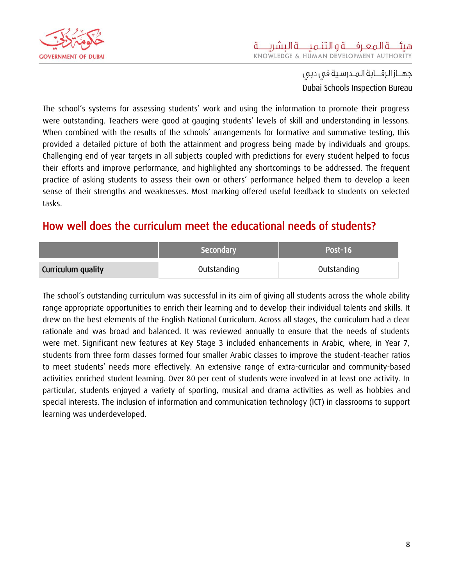

The school's systems for assessing students' work and using the information to promote their progress were outstanding. Teachers were good at gauging students' levels of skill and understanding in lessons. When combined with the results of the schools' arrangements for formative and summative testing, this provided a detailed picture of both the attainment and progress being made by individuals and groups. Challenging end of year targets in all subjects coupled with predictions for every student helped to focus their efforts and improve performance, and highlighted any shortcomings to be addressed. The frequent practice of asking students to assess their own or others' performance helped them to develop a keen sense of their strengths and weaknesses. Most marking offered useful feedback to students on selected tasks.

### <span id="page-8-0"></span>How well does the curriculum meet the educational needs of students?

|                    | Secondary   | Post-16     |
|--------------------|-------------|-------------|
| Curriculum quality | Outstanding | Outstanding |

The school's outstanding curriculum was successful in its aim of giving all students across the whole ability range appropriate opportunities to enrich their learning and to develop their individual talents and skills. It drew on the best elements of the English National Curriculum. Across all stages, the curriculum had a clear rationale and was broad and balanced. It was reviewed annually to ensure that the needs of students were met. Significant new features at Key Stage 3 included enhancements in Arabic, where, in Year 7, students from three form classes formed four smaller Arabic classes to improve the student-teacher ratios to meet students' needs more effectively. An extensive range of extra-curricular and community-based activities enriched student learning. Over 80 per cent of students were involved in at least one activity. In particular, students enjoyed a variety of sporting, musical and drama activities as well as hobbies and special interests. The inclusion of information and communication technology (ICT) in classrooms to support learning was underdeveloped.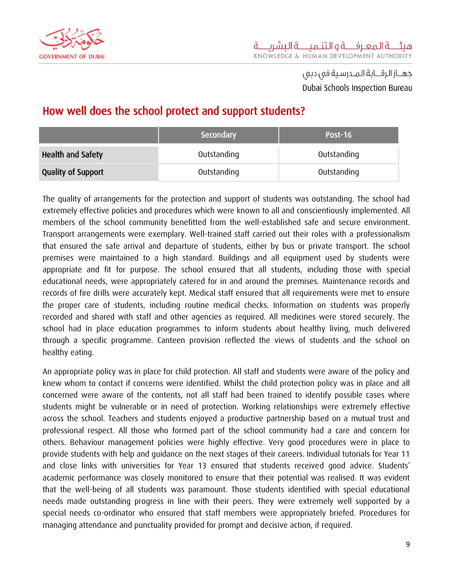

### <span id="page-9-0"></span>How well does the school protect and support students?

|                           | Secondary   | Post-16     |
|---------------------------|-------------|-------------|
| <b>Health and Safety</b>  | Outstanding | Outstanding |
| <b>Quality of Support</b> | Outstanding | Outstanding |

The quality of arrangements for the protection and support of students was outstanding. The school had extremely effective policies and procedures which were known to all and conscientiously implemented. All members of the school community benefitted from the well-established safe and secure environment. Transport arrangements were exemplary. Well-trained staff carried out their roles with a professionalism that ensured the safe arrival and departure of students, either by bus or private transport. The school premises were maintained to a high standard. Buildings and all equipment used by students were appropriate and fit for purpose. The school ensured that all students, including those with special educational needs, were appropriately catered for in and around the premises. Maintenance records and records of fire drills were accurately kept. Medical staff ensured that all requirements were met to ensure the proper care of students, including routine medical checks. Information on students was properly recorded and shared with staff and other agencies as required. All medicines were stored securely. The school had in place education programmes to inform students about healthy living, much delivered through a specific programme. Canteen provision reflected the views of students and the school on healthy eating.

An appropriate policy was in place for child protection. All staff and students were aware of the policy and knew whom to contact if concerns were identified. Whilst the child protection policy was in place and all concerned were aware of the contents, not all staff had been trained to identify possible cases where students might be vulnerable or in need of protection. Working relationships were extremely effective across the school. Teachers and students enjoyed a productive partnership based on a mutual trust and professional respect. All those who formed part of the school community had a care and concern for others. Behaviour management policies were highly effective. Very good procedures were in place to provide students with help and guidance on the next stages of their careers. Individual tutorials for Year 11 and close links with universities for Year 13 ensured that students received good advice. Students' academic performance was closely monitored to ensure that their potential was realised. It was evident that the well-being of all students was paramount. Those students identified with special educational needs made outstanding progress in line with their peers. They were extremely well supported by a special needs co-ordinator who ensured that staff members were appropriately briefed. Procedures for managing attendance and punctuality provided for prompt and decisive action, if required.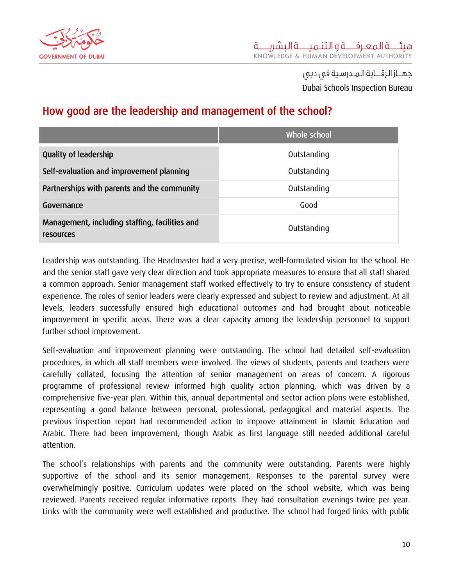

### <span id="page-10-0"></span>How good are the leadership and management of the school?

|                                                             | Whole school |
|-------------------------------------------------------------|--------------|
| <b>Quality of leadership</b>                                | Outstanding  |
| Self-evaluation and improvement planning                    | Outstanding  |
| Partnerships with parents and the community                 | Outstanding  |
| Governance                                                  | Good         |
| Management, including staffing, facilities and<br>resources | Outstanding  |

Leadership was outstanding. The Headmaster had a very precise, well-formulated vision for the school. He and the senior staff gave very clear direction and took appropriate measures to ensure that all staff shared a common approach. Senior management staff worked effectively to try to ensure consistency of student experience. The roles of senior leaders were clearly expressed and subject to review and adjustment. At all levels, leaders successfully ensured high educational outcomes and had brought about noticeable improvement in specific areas. There was a clear capacity among the leadership personnel to support further school improvement.

Self-evaluation and improvement planning were outstanding. The school had detailed self-evaluation procedures, in which all staff members were involved. The views of students, parents and teachers were carefully collated, focusing the attention of senior management on areas of concern. A rigorous programme of professional review informed high quality action planning, which was driven by a comprehensive five-year plan. Within this, annual departmental and sector action plans were established, representing a good balance between personal, professional, pedagogical and material aspects. The previous inspection report had recommended action to improve attainment in Islamic Education and Arabic. There had been improvement, though Arabic as first language still needed additional careful attention.

The school's relationships with parents and the community were outstanding. Parents were highly supportive of the school and its senior management. Responses to the parental survey were overwhelmingly positive. Curriculum updates were placed on the school website, which was being reviewed. Parents received regular informative reports. They had consultation evenings twice per year. Links with the community were well established and productive. The school had forged links with public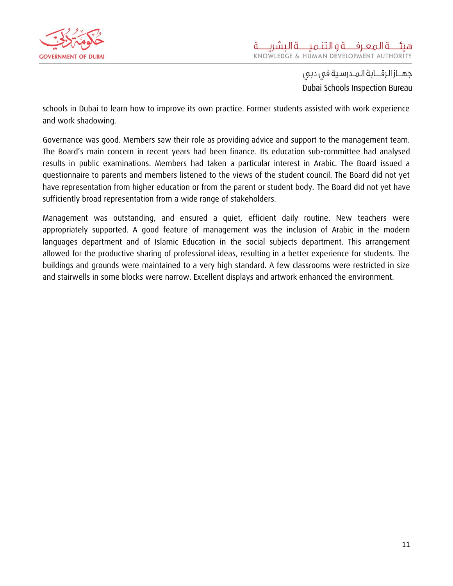

schools in Dubai to learn how to improve its own practice. Former students assisted with work experience and work shadowing.

Governance was good. Members saw their role as providing advice and support to the management team. The Board's main concern in recent years had been finance. Its education sub-committee had analysed results in public examinations. Members had taken a particular interest in Arabic. The Board issued a questionnaire to parents and members listened to the views of the student council. The Board did not yet have representation from higher education or from the parent or student body. The Board did not yet have sufficiently broad representation from a wide range of stakeholders.

Management was outstanding, and ensured a quiet, efficient daily routine. New teachers were appropriately supported. A good feature of management was the inclusion of Arabic in the modern languages department and of Islamic Education in the social subjects department. This arrangement allowed for the productive sharing of professional ideas, resulting in a better experience for students. The buildings and grounds were maintained to a very high standard. A few classrooms were restricted in size and stairwells in some blocks were narrow. Excellent displays and artwork enhanced the environment.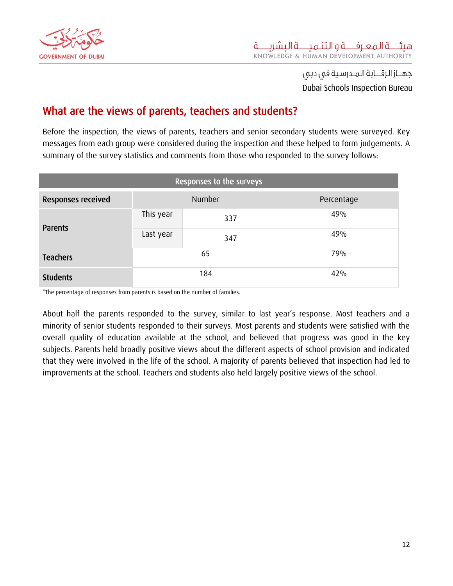

#### <span id="page-12-0"></span>What are the views of parents, teachers and students?

Before the inspection, the views of parents, teachers and senior secondary students were surveyed. Key messages from each group were considered during the inspection and these helped to form judgements. A summary of the survey statistics and comments from those who responded to the survey follows:

| Responses to the surveys |           |     |            |
|--------------------------|-----------|-----|------------|
| Responses received       | Number    |     | Percentage |
| Parents                  | This year | 337 | 49%        |
|                          | Last year | 347 | 49%        |
| <b>Teachers</b>          | 65        |     | 79%        |
| <b>Students</b>          | 184       |     | 42%        |

\*The percentage of responses from parents is based on the number of families.

About half the parents responded to the survey, similar to last year's response. Most teachers and a minority of senior students responded to their surveys. Most parents and students were satisfied with the overall quality of education available at the school, and believed that progress was good in the key subjects. Parents held broadly positive views about the different aspects of school provision and indicated that they were involved in the life of the school. A majority of parents believed that inspection had led to improvements at the school. Teachers and students also held largely positive views of the school.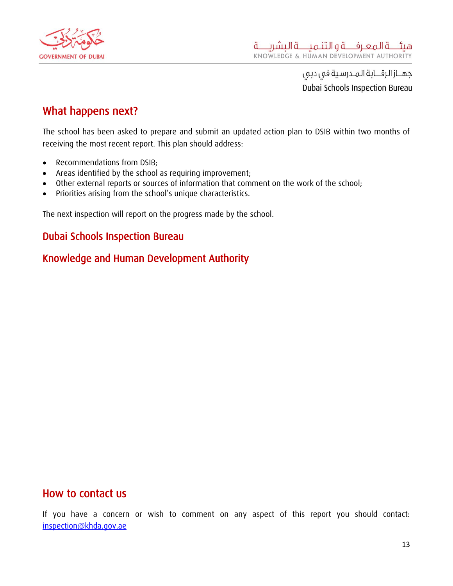

#### <span id="page-13-0"></span>What happens next?

The school has been asked to prepare and submit an updated action plan to DSIB within two months of receiving the most recent report. This plan should address:

- Recommendations from DSIB:
- Areas identified by the school as requiring improvement;
- Other external reports or sources of information that comment on the work of the school;
- Priorities arising from the school's unique characteristics.

The next inspection will report on the progress made by the school.

#### Dubai Schools Inspection Bureau

#### Knowledge and Human Development Authority

#### <span id="page-13-1"></span>How to contact us

If you have a concern or wish to comment on any aspect of this report you should contact: [inspection@khda.gov.ae](mailto:inspection@khda.gov.ae)